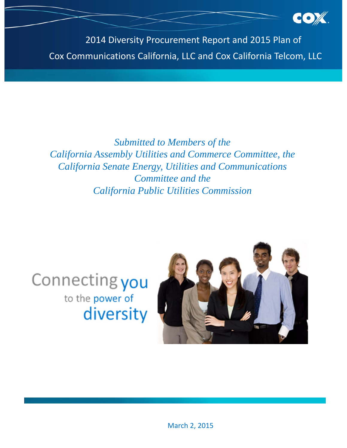2014 Diversity Procurement Report and 2015 Plan of Cox Communications California, LLC and Cox California Telcom, LLC

# *Submitted to Members of the California Assembly Utilities and Commerce Committee, the California Senate Energy, Utilities and Communications Committee and the California Public Utilities Commission*





March 2, 2015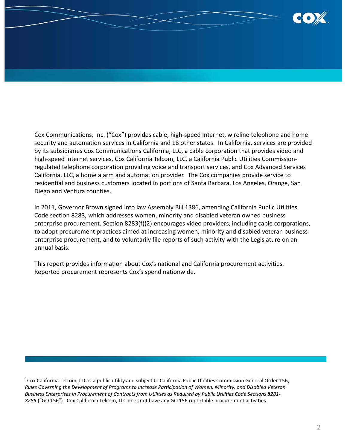

Cox Communications, Inc. ("Cox") provides cable, high‐speed Internet, wireline telephone and home security and automation services in California and 18 other states. In California, services are provided by its subsidiaries Cox Communications California, LLC, a cable corporation that provides video and high-speed Internet services, Cox California Telcom, LLC, a California Public Utilities Commissionregulated telephone corporation providing voice and transport services, and Cox Advanced Services California, LLC, a home alarm and automation provider. The Cox companies provide service to residential and business customers located in portions of Santa Barbara, Los Angeles, Orange, San Diego and Ventura counties.

In 2011, Governor Brown signed into law Assembly Bill 1386, amending California Public Utilities Code section 8283, which addresses women, minority and disabled veteran owned business enterprise procurement. Section 8283(f)(2) encourages video providers, including cable corporations, to adopt procurement practices aimed at increasing women, minority and disabled veteran business enterprise procurement, and to voluntarily file reports of such activity with the Legislature on an annual basis.

This report provides information about Cox's national and California procurement activities. Reported procurement represents Cox's spend nationwide.

 $1$ Cox California Telcom, LLC is a public utility and subject to California Public Utilities Commission General Order 156, *Rules Governing the Development of Programs to Increase Participation of Women, Minority, and Disabled Veteran* Business Enterprises in Procurement of Contracts from Utilities as Required by Public Utilities Code Sections 8281-*8286* ("GO 156"). Cox California Telcom, LLC does not have any GO 156 reportable procurement activities.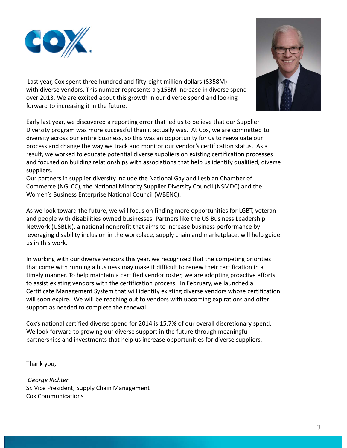

Last year, Cox spent three hundred and fifty-eight million dollars (\$358M) with diverse vendors. This number represents a \$153M increase in diverse spend over 2013. We are excited about this growth in our diverse spend and looking forward to increasing it in the future.

Early last year, we discovered a reporting error that led us to believe that our Supplier Diversity program was more successful than it actually was. At Cox, we are committed to diversity across our entire business, so this was an opportunity for us to reevaluate our process and change the way we track and monitor our vendor's certification status. As a result, we worked to educate potential diverse suppliers on existing certification processes and focused on building relationships with associations that help us identify qualified, diverse suppliers.

Our partners in supplier diversity include the National Gay and Lesbian Chamber of Commerce (NGLCC), the National Minority Supplier Diversity Council (NSMDC) and the Women's Business Enterprise National Council (WBENC).

As we look toward the future, we will focus on finding more opportunities for LGBT, veteran and people with disabilities owned businesses. Partners like the US Business Leadership Network (USBLN), a national nonprofit that aims to increase business performance by leveraging disability inclusion in the workplace, supply chain and marketplace, will help guide us in this work.

In working with our diverse vendors this year, we recognized that the competing priorities that come with running a business may make it difficult to renew their certification in a timely manner. To help maintain a certified vendor roster, we are adopting proactive efforts to assist existing vendors with the certification process. In February, we launched a Certificate Management System that will identify existing diverse vendors whose certification will soon expire. We will be reaching out to vendors with upcoming expirations and offer support as needed to complete the renewal.

Cox's national certified diverse spend for 2014 is 15.7% of our overall discretionary spend. We look forward to growing our diverse support in the future through meaningful partnerships and investments that help us increase opportunities for diverse suppliers.

Thank you,

*George Richter* Sr. Vice President, Supply Chain Management Cox Communications

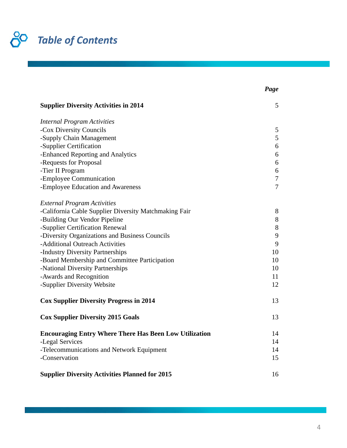

| <b>Supplier Diversity Activities in 2014</b>                  | 5              |
|---------------------------------------------------------------|----------------|
| <b>Internal Program Activities</b>                            |                |
| -Cox Diversity Councils                                       | 5              |
| -Supply Chain Management                                      | 5              |
| -Supplier Certification                                       | 6              |
| -Enhanced Reporting and Analytics                             | 6              |
| -Requests for Proposal                                        | 6              |
| -Tier II Program                                              | 6              |
| -Employee Communication                                       | $\tau$         |
| -Employee Education and Awareness                             | $\overline{7}$ |
| <b>External Program Activities</b>                            |                |
| -California Cable Supplier Diversity Matchmaking Fair         | 8              |
| -Building Our Vendor Pipeline                                 | 8              |
| -Supplier Certification Renewal                               | $8\,$          |
| -Diversity Organizations and Business Councils                | 9              |
| -Additional Outreach Activities                               | 9              |
| -Industry Diversity Partnerships                              | 10             |
| -Board Membership and Committee Participation                 | 10             |
| -National Diversity Partnerships                              | 10             |
| -Awards and Recognition                                       | 11             |
| -Supplier Diversity Website                                   | 12             |
| <b>Cox Supplier Diversity Progress in 2014</b>                | 13             |
| <b>Cox Supplier Diversity 2015 Goals</b>                      | 13             |
| <b>Encouraging Entry Where There Has Been Low Utilization</b> | 14             |
| -Legal Services                                               | 14             |
| -Telecommunications and Network Equipment                     | 14             |
| -Conservation                                                 | 15             |
| <b>Supplier Diversity Activities Planned for 2015</b>         | 16             |

*Page*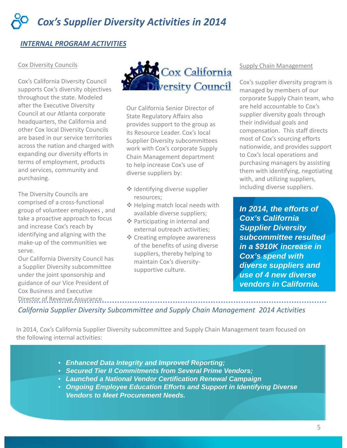# *INTERNAL PROGRAM ACTIVITIES*

#### Cox Diversity Councils

Cox's California Diversity Council supports Cox's diversity objectives throughout the state. Modeled after the Executive Diversity Council at our Atlanta corporate headquarters, the California and other Cox local Diversity Councils are based in our service territories across the nation and charged with expanding our diversity efforts in terms of employment, products and services, community and purchasing.

The Diversity Councils are comprised of a cross‐functional group of volunteer employees , and take a proactive approach to focus and increase Cox's reach by identifying and aligning with the make‐up of the communities we serve.

Our California Diversity Council has a Supplier Diversity subcommittee under the joint sponsorship and guidance of our Vice President of Cox Business and Executive Director of Revenue Assurance.



Our California Senior Director of State Regulatory Affairs also provides support to the group as its Resource Leader. Cox's local Supplier Diversity subcommittees work with Cox's corporate Supply Chain Management department to help increase Cox's use of diverse suppliers by:

- **◆ Identifying diverse supplier** resources;
- **❖** Helping match local needs with available diverse suppliers;
- Participating in internal and external outreach activities;
- **❖** Creating employee awareness of the benefits of using diverse suppliers, thereby helping to maintain Cox's diversity‐ supportive culture.

#### Supply Chain Management

Cox's supplier diversity program is managed by members of our corporate Supply Chain team, who are held accountable to Cox's supplier diversity goals through their individual goals and compensation. This staff directs most of Cox's sourcing efforts nationwide, and provides support to Cox's local operations and purchasing managers by assisting them with identifying, negotiating with, and utilizing suppliers, including diverse suppliers.

*In 2014, the efforts of Cox's California Supplier Diversity subcommittee resulted in a \$910K increase in Cox's spend with diverse suppliers and use of 4 new diverse vendors in California.*

*California Supplier Diversity Subcommittee and Supply Chain Management 2014 Activities*

In 2014, Cox's California Supplier Diversity subcommittee and Supply Chain Management team focused on the following internal activities:

- *Enhanced Data Integrity and Improved Reporting;*
- *Secured Tier II Commitments from Several Prime Vendors;*
- *Launched a National Vendor Certification Renewal Campaign*
- *Ongoing Employee Education Efforts and Support in Identifying Diverse Vendors to Meet Procurement Needs.*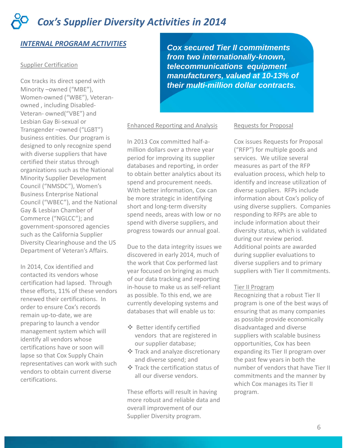# *INTERNAL PROGRAM ACTIVITIES*

#### Supplier Certification

Cox tracks its direct spend with Minority –owned ("MBE"), Women‐owned ("WBE"), Veteran‐ owned , including Disabled‐ Veteran‐ owned("VBE") and Lesbian Gay Bi‐sexual or Transgender –owned ("LGBT") business entities. Our program is designed to only recognize spend with diverse suppliers that have certified their status through organizations such as the National Minority Supplier Development Council ("NMSDC"), Women's Business Enterprise National Council ("WBEC"), and the National Gay & Lesbian Chamber of Commerce ("NGLCC"); and government‐sponsored agencies such as the California Supplier Diversity Clearinghouse and the US Department of Veteran's Affairs.

In 2014, Cox identified and contacted its vendors whose certification had lapsed. Through these efforts, 11% of these vendors renewed their certifications. In order to ensure Cox's records remain up‐to‐date, we are preparing to launch a vendor management system which will identify all vendors whose certifications have or soon will lapse so that Cox Supply Chain representatives can work with such vendors to obtain current diverse certifications.

*Cox secured Tier II commitments from two internationally-known, telecommunications equipment manufacturers, valued at 10-13% of their multi-million dollar contracts.*

#### Enhanced Reporting and Analysis

In 2013 Cox committed half‐a‐ million dollars over a three year period for improving its supplier databases and reporting, in order to obtain better analytics about its spend and procurement needs. With better information, Cox can be more strategic in identifying short and long‐term diversity spend needs, areas with low or no spend with diverse suppliers, and progress towards our annual goal.

Due to the data integrity issues we discovered in early 2014, much of the work that Cox performed last year focused on bringing as much of our data tracking and reporting in‐house to make us as self‐reliant as possible. To this end, we are currently developing systems and databases that will enable us to:

- Better identify certified vendors that are registered in our supplier database;
- **❖ Track and analyze discretionary** and diverse spend; and
- $★$  Track the certification status of all our diverse vendors.

These efforts will result in having more robust and reliable data and overall improvement of our Supplier Diversity program.

#### Requests for Proposal

Cox issues Requests for Proposal ("RFP") for multiple goods and services. We utilize several measures as part of the RFP evaluation process, which help to identify and increase utilization of diverse suppliers. RFPs include information about Cox's policy of using diverse suppliers. Companies responding to RFPs are able to include information about their diversity status, which is validated during our review period. Additional points are awarded during supplier evaluations to diverse suppliers and to primary suppliers with Tier II commitments.

#### Tier II Program

Recognizing that a robust Tier II program is one of the best ways of ensuring that as many companies as possible provide economically disadvantaged and diverse suppliers with scalable business opportunities, Cox has been expanding its Tier II program over the past few years in both the number of vendors that have Tier II commitments and the manner by which Cox manages its Tier II program.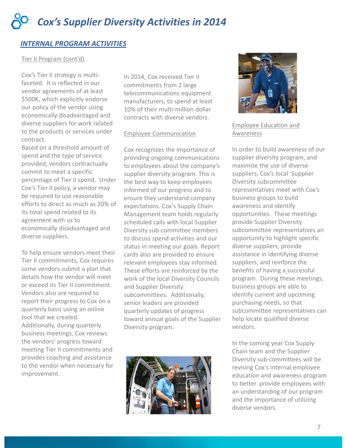# *INTERNAL PROGRAM ACTIVITIES*

#### Tier II Program (cont'd)

Cox's Tier II strategy is multi‐ faceted. It is reflected in our vendor agreements of at least \$500K, which explicitly endorse our policy of the vendor using economically disadvantaged and diverse suppliers for work related to the products or services under contract.

Based on a threshold amount of spend and the type of service provided, vendors contractually commit to meet a specific percentage of Tier II spend. Under Cox's Tier II policy, a vendor may be required to use reasonable efforts to direct as much as 20% of its total spend related to its agreement with us to economically disadvantaged and diverse suppliers.

To help ensure vendors meet their Tier II commitments, Cox requires some vendors submit a plan that details how the vendor will meet or exceed its Tier II commitment. Vendors also are required to report their progress to Cox on a quarterly basis using an online tool that we created. Additionally, during quarterly business meetings, Cox reviews the vendors' progress toward meeting Tier II commitments and

provides coaching and assistance to the vendor when necessary for improvement.

In 2014, Cox received Tier II commitments from 2 large telecommunications equipment manufacturers, to spend at least 10% of their multi-million dollar contracts with diverse vendors.

#### Employee Communication

Cox recognizes the importance of providing ongoing communications to employees about the company's supplier diversity program. This is the best way to keep employees informed of our progress and to ensure they understand company expectations. Cox's Supply Chain Management team holds regularly scheduled calls with local Supplier Diversity sub‐committee members to discuss spend activities and our status in meeting our goals. Report cards also are provided to ensure relevant employees stay informed. These efforts are reinforced by the work of the local Diversity Councils and Supplier Diversity subcommittees. Additionally, senior leaders are provided quarterly updates of progress toward annual goals of the Supplier Diversity program.





### Employee Education and Awareness

In order to build awareness of our supplier diversity program, and maximize the use of diverse suppliers, Cox's local Supplier Diversity subcommittee representatives meet with Cox's business groups to build awareness and identify opportunities. These meetings provide Supplier Diversity subcommittee representatives an opportunity to highlight specific diverse suppliers, provide assistance in identifying diverse suppliers, and reinforce the benefits of having a\_successful program. During these meetings, business groups are able to identify current and upcoming purchasing needs, so that subcommittee representatives can help locate qualified diverse vendors.

In the coming year Cox Supply Chain team and the Supplier Diversity sub‐committees will be revising Cox's internal employee education and awareness program to better provide employees with an understanding of our program and the importance of utilizing diverse vendors.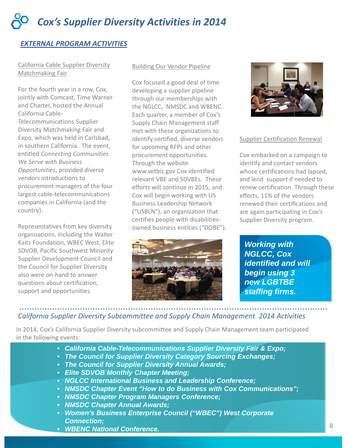# *EXTERNAL PROGRAM ACTIVITIES*

#### California Cable Supplier Diversity Matchmaking Fair

For the fourth year in a row, Cox, jointly with Comcast, Time Warner and Charter, hosted the Annual California Cable‐ Telecommunications Supplier Diversity Matchmaking Fair and Expo, which was held in Carlsbad, in southern California. The event, entitled *Connecting Communities We Serve with Business Opportunities*, provided diverse vendors introductions to procurement managers of the four largest cable‐telecommunications companies in California (and the country).

Representatives from key diversity organizations, including the Walter Kaitz Foundation, WBEC West, Elite SDVOB, Pacific Southwest Minority Supplier Development Council and the Council for Supplier Diversity also were on‐hand to answer questions about certification, support and opportunities.

#### Building Our Vendor Pipeline

Cox focused a good deal of time developing a supplier pipeline through our memberships with the NGLCC, NMSDC and WBENC. Each quarter, a member of Cox's Supply Chain Management staff met with these organizations to identify certified, diverse vendors for upcoming RFPs and other procurement opportunities. Through the website www.vetbiz.gov Cox identified relevant VBE and SDVBEs. These efforts will continue in 2015, and Cox will begin working with US Business Leadership Network ("USBLN"), an organization that certifies people with disabilities‐ owned business entities ("DOBE").





#### Supplier Certification Renewal

Cox embarked on a campaign to identify and contact vendors whose certifications had lapsed, and lend support if needed to renew certification. Through these efforts, 11% of the vendors renewed their certifications and are again participating in Cox's Supplier Diversity program.

*Working with NGLCC, Cox identified and will begin using 3 new LGBTBE staffing firms.*

## *California Supplier Diversity Subcommittee and Supply Chain Management 2014 Activities*

In 2014, Cox's California Supplier Diversity subcommittee and Supply Chain Management team participated in the following events:

- *California Cable-Telecommunications Supplier Diversity Fair & Expo;*
- . *The Council for Supplier Diversity Category Sourcing Exchanges;*
- *The Council for Supplier Diversity Annual Awards;*
- *Elite SDVOB Monthly Chapter Meeting;*
- *NGLCC International Business and Leadership Conference;*
- *NMSDC Chapter Event "How to do Business with Cox Communications";*
- *NMSDC Chapter Program Managers Conference;*
- *NMSDC Chapter Annual Awards;*
- *Women's Business Enterprise Council ("WBEC") West Corporate Connection;*
- *WBENC National Conference.*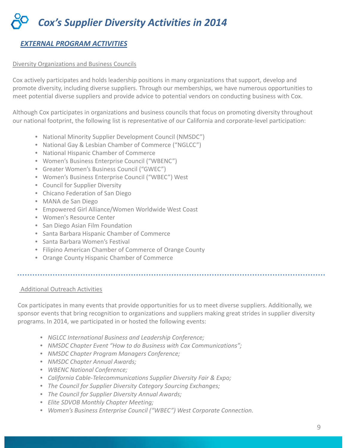# *EXTERNAL PROGRAM ACTIVITIES*

#### Diversity Organizations and Business Councils

exterpotential diverse suppliers and provide advice to potential vendors on conducting business with Cox. Cox actively participates and holds leadership positions in many organizations that support, develop and promote diversity, including diverse suppliers. Through our memberships, we have numerous opportunities to

Although Cox participates in organizations and business councils that focus on promoting diversity throughout our national footprint, the following list is representative of our California and corporate‐level participation:

- National Minority Supplier Development Council (NMSDC")
- National Gay & Lesbian Chamber of Commerce ("NGLCC")
- National Hispanic Chamber of Commerce
- Women's Business Enterprise Council ("WBENC")
- Greater Women's Business Council ("GWEC")
- Women's Business Enterprise Council ("WBEC") West
- Council for Supplier Diversity
- Chicano Federation of San Diego
- MANA de San Diego
- Empowered Girl Alliance/Women Worldwide West Coast
- Women's Resource Center
- San Diego Asian Film Foundation
- Santa Barbara Hispanic Chamber of Commerce
- Santa Barbara Women's Festival
- Filipino American Chamber of Commerce of Orange County
- Orange County Hispanic Chamber of Commerce
- 

## Additional Outreach Activities

Cox participates in many events that provide opportunities for us to meet diverse suppliers. Additionally, we sponsor events that bring recognition to organizations and suppliers making great strides in supplier diversity programs. In 2014, we participated in or hosted the following events:

- *NGLCC International Business and Leadership Conference;*
- *NMSDC Chapter Event "How to do Business with Cox Communications";*
- *NMSDC Chapter Program Managers Conference;*
- *NMSDC Chapter Annual Awards;*
- *WBENC National Conference;*
- *California Cable‐Telecommunications Supplier Diversity Fair & Expo;*
- *The Council for Supplier Diversity Category Sourcing Exchanges;*
- *The Council for Supplier Diversity Annual Awards;*
- *Elite SDVOB Monthly Chapter Meeting;*
- *Women's Business Enterprise Council ("WBEC") West Corporate Connection.*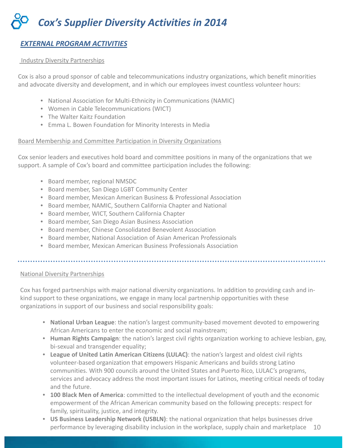# *EXTERNAL PROGRAM ACTIVITIES*

#### Industry Diversity Partnerships

Cox is also a proud sponsor of cable and telecommunications industry organizations, which benefit minorities and advocate diversity and development, and in which our employees invest countless volunteer hours:

- **‐ ARCOT RAMATHORN** • National Association for Multi‐Ethnicity in Communications (NAMIC)
- Women in Cable Telecommunications (WICT)
- The Walter Kaitz Foundation
- Emma L. Bowen Foundation for Minority Interests in Media

#### Board Membership and Committee Participation in Diversity Organizations

Cox senior leaders and executives hold board and committee positions in many of the organizations that we support. A sample of Cox's board and committee participation includes the following:

- Board member, regional NMSDC
- Board member, San Diego LGBT Community Center
- Board member, Mexican American Business & Professional Association
- Board member, NAMIC, Southern California Chapter and National
- Board member, WICT, Southern California Chapter
- Board member, San Diego Asian Business Association
- Board member, Chinese Consolidated Benevolent Association
- Board member, National Association of Asian American Professionals
- Board member, Mexican American Business Professionals Association

#### National Diversity Partnerships

Cox has forged partnerships with major national diversity organizations. In addition to providing cash and in‐ kind support to these organizations, we engage in many local partnership opportunities with these organizations in support of our business and social responsibility goals:

- **National Urban League**: the nation's largest community‐based movement devoted to empowering African Americans to enter the economic and social mainstream;
- **Human Rights Campaign**: the nation's largest civil rights organization working to achieve lesbian, gay, bi-sexual and transgender equality;
- **League of United Latin American Citizens (LULAC)**: the nation's largest and oldest civil rights volunteer‐based organization that empowers Hispanic Americans and builds strong Latino communities. With 900 councils around the United States and Puerto Rico, LULAC's programs, services and advocacy address the most important issues for Latinos, meeting critical needs of today and the future.
- **100 Black Men of America**: committed to the intellectual development of youth and the economic empowerment of the African American community based on the following precepts: respect for family, spirituality, justice, and integrity.
- **US Business Leadership Network (USBLN)**: the national organization that helps businesses drive performance by leveraging disability inclusion in the workplace, supply chain and marketplace 10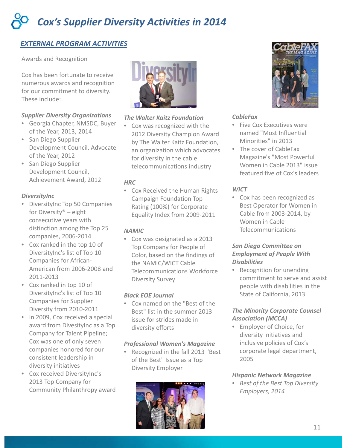# *EXTERNAL PROGRAM ACTIVITIES*

#### Awards and Recognition

Cox has been fortunate to receive numerous awards and recognition for our commitment to diversity. These include:

## *Supplier Diversity Organizations*

- Georgia Chapter, NMSDC, Buyer of the Year, 2013, 2014
- San Diego Supplier Development Council, Advocate of the Year, 2012
- San Diego Supplier Development Council, Achievement Award, 2012

#### *DiversityInc*

- DiversityInc Top 50 Companies for Diversity® – eight consecutive years with distinction among the Top 25 companies, 2006‐2014
- Cox ranked in the top 10 of DiversityInc's list of Top 10 Companies for African‐ American from 2006‐2008 and 2011‐2013
- Cox ranked in top 10 of DiversityInc's list of Top 10 Companies for Supplier Diversity from 2010‐2011
- In 2009, Cox received a special award from DivesityInc as a Top Company for Talent Pipeline; Cox was one of only seven companies honored for our consistent leadership in diversity initiatives
- Cox received DiversityInc's 2013 Top Company for Community Philanthropy award



## *The Walter Kaitz Foundation*

• Cox was recognized with the 2012 Diversity Champion Award by The Walter Kaitz Foundation, an organization which advocates for diversity in the cable telecommunications industry

#### *HRC*

• Cox Received the Human Rights Campaign Foundation Top Rating (100%) for Corporate Equality Index from 2009‐2011

## *NAMIC*

• Cox was designated as a 2013 Top Company for People of Color, based on the findings of the NAMIC/WICT Cable Telecommunications Workforce Diversity Survey

## *Black EOE Journal*

• Cox named on the "Best of the Best" list in the summer 2013 issue for strides made in diversity efforts

#### *Professional Women's Magazine*

• Recognized in the fall 2013 "Best of the Best" Issue as a Top Diversity Employer





#### *CableFax*

- Five Cox Executives were named "Most Influential Minorities" in 2013
- The cover of CableFax Magazine's "Most Powerful Women in Cable 2013" issue featured five of Cox's leaders

## *WICT*

• Cox has been recognized as Best Operator for Women in Cable from 2003‐2014, by Women in Cable Telecommunications

## *San Diego Committee on Employment of People With Disabilities*

• Recognition for unending commitment to serve and assist people with disabilities in the State of California, 2013

# *The Minority Corporate Counsel Association (MCCA)*

• Employer of Choice, for diversity initiatives and inclusive policies of Cox's corporate legal department, 2005

#### *Hispanic Network Magazine*

• *Best of the Best Top Diversity Employers, 2014*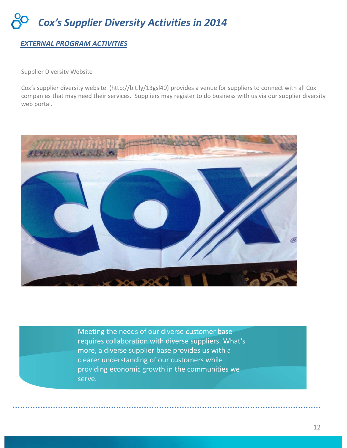# *EXTERNAL PROGRAM ACTIVITIES*

#### Supplier Diversity Website

companies that may need their services. Suppliers may register to do business with us via our supplier diversity Cox's supplier diversity website (http://bit.ly/13gsl40) provides a venue for suppliers to connect with all Cox web portal.



Meeting the needs of our diverse customer base requires collaboration with diverse suppliers. What's more, a diverse supplier base provides us with a clearer understanding of our customers while providing economic growth in the communities we serve.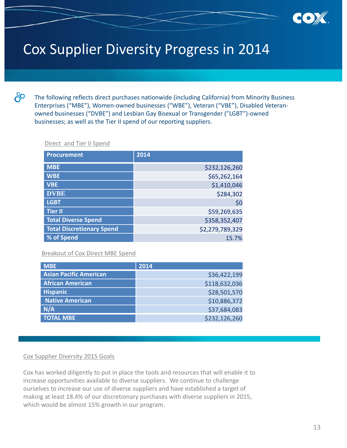

# Cox Supplier Diversity Progress in 2014

රි

The following reflects direct purchases nationwide (including California) from Minority Business Enterprises ("MBE"), Women‐owned businesses ("WBE"), Veteran ("VBE"), Disabled Veteran‐ owned businesses ("DVBE") and Lesbian Gay Bisexual or Transgender ("LGBT")‐owned businesses; as well as the Tier II spend of our reporting suppliers.

#### Direct and Tier II Spend

| <b>Procurement</b>               | 2014            |
|----------------------------------|-----------------|
| <b>MBE</b>                       | \$232,126,260   |
| <b>WBE</b>                       | \$65,262,164    |
| <b>VBE</b>                       | \$1,410,046     |
| <b>DVBE</b>                      | \$284,302       |
| <b>LGBT</b>                      | \$0             |
| <b>Tier II</b>                   | \$59,269,635    |
| <b>Total Diverse Spend</b>       | \$358,352,407   |
| <b>Total Discretionary Spend</b> | \$2,279,789,329 |
| % of Spend                       | 15.7%           |

#### Breakout of Cox Direct MBE Spend

| <b>MBE</b>                    | 2014          |
|-------------------------------|---------------|
| <b>Asian Pacific American</b> | \$36,422,199  |
| <b>African American</b>       | \$118,632,036 |
| <b>Hispanic</b>               | \$28,501,570  |
| <b>Native American</b>        | \$10,886,372  |
| N/A                           | \$37,684,083  |
| <b>TOTAL MBE</b>              | \$232,126,260 |

#### Cox Supplier Diversity 2015 Goals

Cox has worked diligently to put in place the tools and resources that will enable it to increase opportunities available to diverse suppliers. We continue to challenge ourselves to increase our use of diverse suppliers and have established a target of making at least 18.4% of our discretionary purchases with diverse suppliers in 2015, which would be almost 15% growth in our program.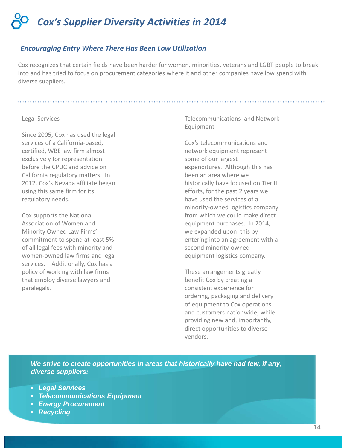### *Encouraging Entry Where There Has Been Low Utilization*

Cox recognizes that certain fields have been harder for women, minorities, veterans and LGBT people to break into and has tried to focus on procurement categories where it and other companies have low spend with diverse suppliers.

#### Legal Services

Since 2005, Cox has used the legal services of a California‐based, certified, WBE law firm almost exclusively for representation before the CPUC and advice on California regulatory matters. In 2012, Cox's Nevada affiliate began using this same firm for its regulatory needs.

Cox supports the National Association of Women and Minority Owned Law Firms' commitment to spend at least 5% of all legal fees with minority and women‐owned law firms and legal services. Additionally, Cox has a policy of working with law firms that employ diverse lawyers and paralegals.

#### Telecommunications and Network Equipment

Cox's telecommunications and network equipment represent some of our largest expenditures. Although this has been an area where we historically have focused on Tier II efforts, for the past 2 years we have used the services of a minority‐owned logistics company from which we could make direct equipment purchases. In 2014, we expanded upon this by entering into an agreement with a second minority‐owned equipment logistics company.

These arrangements greatly benefit Cox by creating a consistent experience for ordering, packaging and delivery of equipment to Cox operations and customers nationwide; while providing new and, importantly, direct opportunities to diverse vendors.

*We strive to create opportunities in areas that historically have had few, if any, diverse suppliers:*

- *Legal Services*
- *Telecommunications Equipment*
- *Energy Procurement*
- *Recycling*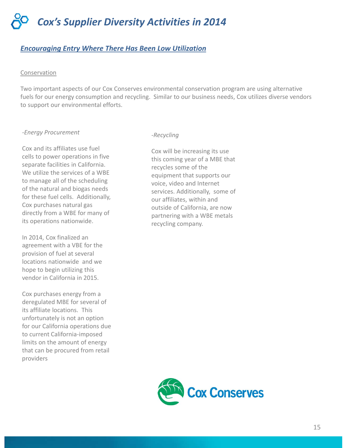## *Encouraging Entry Where There Has Been Low Utilization*

#### Conservation

Two important aspects of our Cox Conserves environmental conservation program are using alternative fuels for our energy consumption and recycling. Similar to our business needs, Cox utilizes diverse vendors to support our environmental efforts.

#### *‐Energy Procurement*

Cox and its affiliates use fuel cells to power operations in five separate facilities in California. We utilize the services of a WBE to manage all of the scheduling of the natural and biogas needs for these fuel cells. Additionally, Cox purchases natural gas directly from a WBE for many of its operations nationwide.

In 2014, Cox finalized an agreement with a VBE for the provision of fuel at several locations nationwide and we hope to begin utilizing this vendor in California in 2015.

Cox purchases energy from a deregulated MBE for several of its affiliate locations. This unfortunately is not an option for our California operations due to current California‐imposed limits on the amount of energy that can be procured from retail providers

#### *‐Recycling*

Cox will be increasing its use this coming year of a MBE that recycles some of the equipment that supports our voice, video and Internet services. Additionally, some of our affiliates, within and outside of California, are now partnering with a WBE metals recycling company.

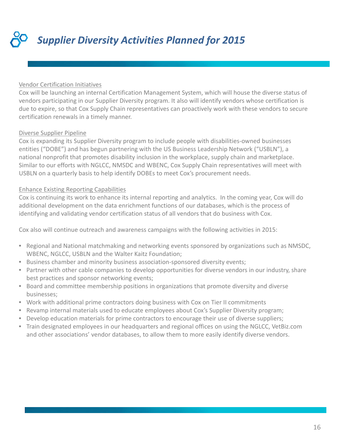*Supplier Diversity Activities Planned for 2015*

#### Vendor Certification Initiatives

Cox will be launching an internal Certification Management System, which will house the diverse status of vendors participating in our Supplier Diversity program. It also will identify vendors whose certification is due to expire, so that Cox Supply Chain representatives can proactively work with these vendors to secure certification renewals in a timely manner.

## Diverse Supplier Pipeline

Cox is expanding its Supplier Diversity program to include people with disabilities-owned businesses entities ("DOBE") and has begun partnering with the US Business Leadership Network ("USBLN"), a national nonprofit that promotes disability inclusion in the workplace, supply chain and marketplace. Similar to our efforts with NGLCC, NMSDC and WBENC, Cox Supply Chain representatives will meet with USBLN on a quarterly basis to help identify DOBEs to meet Cox's procurement needs.

## Enhance Existing Reporting Capabilities

Cox is continuing its work to enhance its internal reporting and analytics. In the coming year, Cox will do additional development on the data enrichment functions of our databases, which is the process of identifying and validating vendor certification status of all vendors that do business with Cox.

Cox also will continue outreach and awareness campaigns with the following activities in 2015:

- Regional and National matchmaking and networking events sponsored by organizations such as NMSDC, WBENC, NGLCC, USBLN and the Walter Kaitz Foundation;
- Business chamber and minority business association-sponsored diversity events;
- Partner with other cable companies to develop opportunities for diverse vendors in our industry, share best practices and sponsor networking events;
- Board and committee membership positions in organizations that promote diversity and diverse businesses;
- Work with additional prime contractors doing business with Cox on Tier II commitments
- Revamp internal materials used to educate employees about Cox's Supplier Diversity program;
- Develop education materials for prime contractors to encourage their use of diverse suppliers;
- Train designated employees in our headquarters and regional offices on using the NGLCC, VetBiz.com and other associations' vendor databases, to allow them to more easily identify diverse vendors.